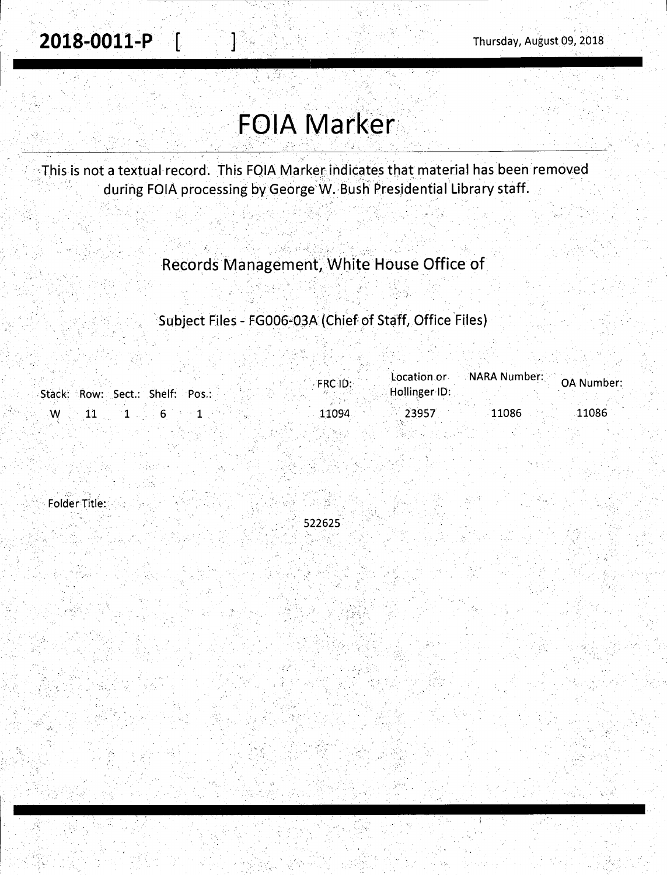**2018-0011-P [ ] c** [ ] c; Thursday, August 09, 2018

# **FOIA Marker**

··This is not a textual record. This FQIA Markerindic~tes that material has been removed during FOIA processing by George W. Bush Presidential Library staff.

### Records Management, White House Office of

Subject Files - FG006-03A (Chief of Staff, Office Files)

|                                 | FRC ID:        | Location or NARA Number: OA Number: |
|---------------------------------|----------------|-------------------------------------|
| Stack: Row: Sect.: Shelf: Pos.: | Hollinger ID:  |                                     |
| w                               | 23957<br>11094 | 11086<br>11086                      |
|                                 |                |                                     |

Folder Title:

..•.

522625

.. .,.· •'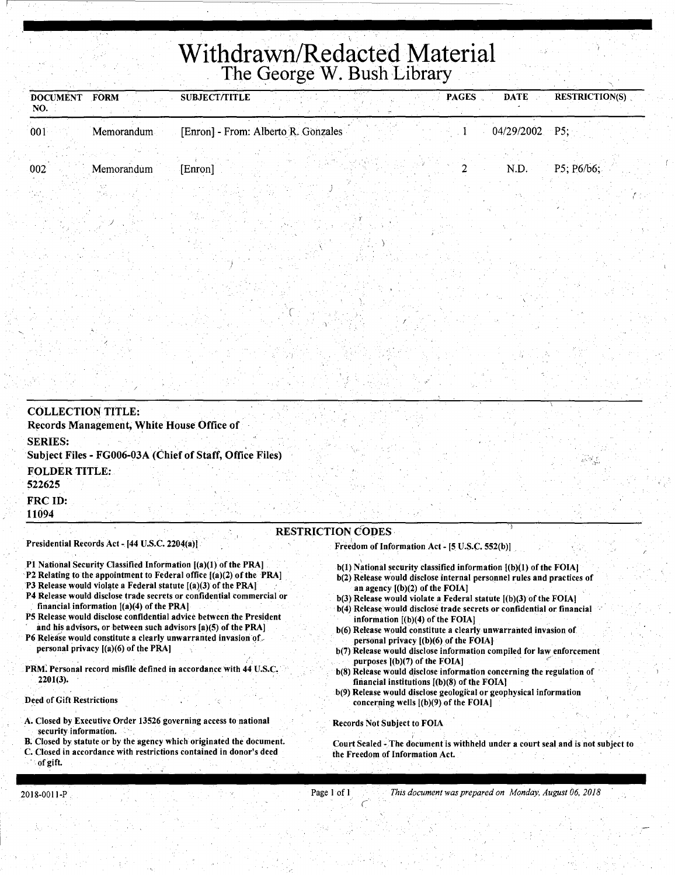# **Withdrawn/Redacted Material**  The George W. Bush Library

| <b>DOCUMENT</b><br>NO. | <b>FORM</b> | <b>SUBJECT/TITLE</b> |                                     | <b>PAGES</b> | <b>RESTRICTION(S)</b><br><b>DATE</b> |
|------------------------|-------------|----------------------|-------------------------------------|--------------|--------------------------------------|
| 001                    | Memorandum  |                      | [Enron] - From: Alberto R. Gonzales |              | 04/29/2002 P5;                       |
| 002                    | Memorandum  | [Enron]              |                                     |              | P5: P6/b6:<br>N.D.                   |
|                        |             |                      |                                     |              |                                      |

| <b>COLLECTION TITLE:</b><br>Records Management, White House Office of      |                                                                            |  |
|----------------------------------------------------------------------------|----------------------------------------------------------------------------|--|
| <b>SERIES:</b><br>Subject Files - FG006-03A (Chief of Staff, Office Files) |                                                                            |  |
| <b>FOLDER TITLE:</b><br>522625                                             |                                                                            |  |
| <b>FRC ID:</b><br>11094                                                    |                                                                            |  |
| Presidential Records Act - [44 U.S.C. 2204(a)]                             | <b>RESTRICTION CODES</b><br>Freedom of Information Act - [5 U.S.C. 552(b)] |  |

- P1 National Security Classified Information [(a)(1) of the PRA]
- P2 Relating to the appointment to Federal office [(a)(2) of the PRA)
- ·p3 Release would violate a Federal statute [(a)(3) of the PRAJ

J

- P4 Release would disclose trade secrets or confidential commercial or financial information  $[(a)(4)$  of the PRA]
- PS Release would disclose confidential advice between the President and his advisors, or between such advisors [a)(5) of the PRA]
- P6 Release would constitute a clearly unwarranted invasion of personal privacy [(a)(6) of the PRA]
- PRM. Personal record misfile defined in accordance with 44 U.S.C. 2201(3).

Deed of Gift Restrictions

- A. Closed by Executive Order 13526 governing access to national security information.
- B. Closed by statute or by the agency which originated the document.
- C. Closed in accordance with restrictions contained in donor's deed

### of gift.

- Freedom of Information Act  $[5 \text{ U.S.C. } 552(\text{b})]$  .
- $b(1)$  National security classified information  $[(b)(1)$  of the FOIA]

'

"

- b(2) Release would disclose internal personnel rules and practices of an agency [(b)(2) of the FOIA]
- b(3) Release would violate a Federal statute [(b)(3) of the FOIAJ b(4) Release would disclose trade secrets or confidential or financial
- information [(b)(4) of the FOIA) b(6) Release would constitute a clearly unwarranted invasion of personal privacy [(b)(6) of the FOIA]
- b(7) Release would disclose information compiled for law enforcement purposes  $[(b)(7)$  of the FOIA]
- b(8) Release would disclose information concerning the regulation of financial institutions  $[(b)(8)$  of the FOIA]
- b(9) Release would disclose geological or geophysical information concerning wells [(b)(9) of the FOIA]

Records Not Subject to FOIA

Court Sealed - The document is withheld under a court seal and is not subject to the Freedom of Information Act.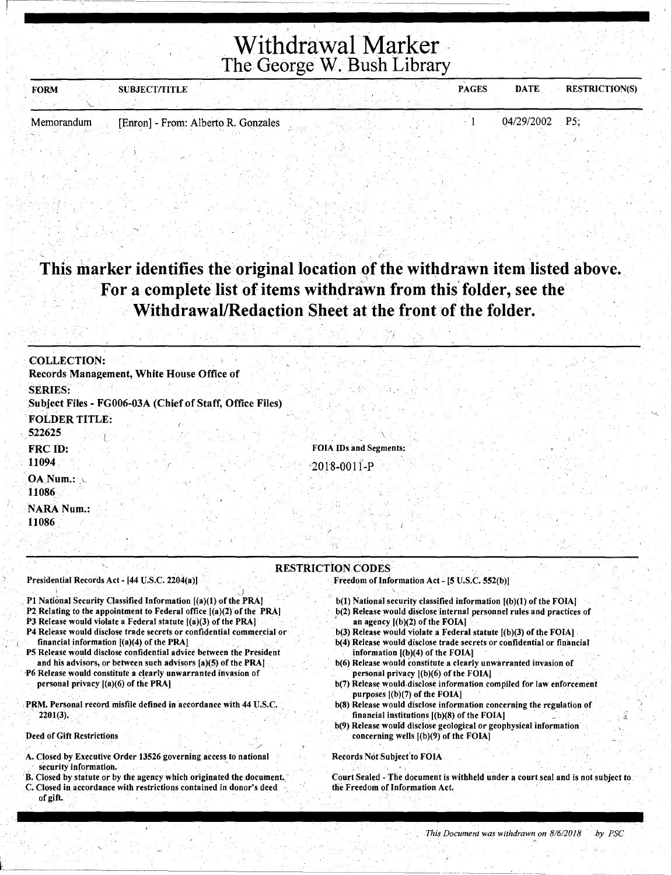## **Withdrawal Marker**  The George W. Bush Library

| <b>FORM</b> | <b>SUBJECT/TITLE</b>                |  |  | <b>PAGES</b> | <b>DATE</b>    | <b>RESTRICTION(S)</b> |
|-------------|-------------------------------------|--|--|--------------|----------------|-----------------------|
|             |                                     |  |  |              |                |                       |
| Memorandum  | [Enron] - From: Alberto R. Gonzales |  |  |              | 04/29/2002 P5: |                       |

### This marker identifies the original location of the withdrawn item listed above. For a complete list of items withdrawn from this folder, see the **Withdrawal/Redaction Sheet at the front of the folder.**

·.-;"

| <b>COLLECTION:</b>                                                                                                                                                                                                                                                                                                                                                                                                                                                                                                                                                                                                                                                     |                                                                                                                                                                                                                                                                                                                                                                                                                                                                                                                                                                                                                                                                                                                                                                                           |
|------------------------------------------------------------------------------------------------------------------------------------------------------------------------------------------------------------------------------------------------------------------------------------------------------------------------------------------------------------------------------------------------------------------------------------------------------------------------------------------------------------------------------------------------------------------------------------------------------------------------------------------------------------------------|-------------------------------------------------------------------------------------------------------------------------------------------------------------------------------------------------------------------------------------------------------------------------------------------------------------------------------------------------------------------------------------------------------------------------------------------------------------------------------------------------------------------------------------------------------------------------------------------------------------------------------------------------------------------------------------------------------------------------------------------------------------------------------------------|
| Records Management, White House Office of                                                                                                                                                                                                                                                                                                                                                                                                                                                                                                                                                                                                                              |                                                                                                                                                                                                                                                                                                                                                                                                                                                                                                                                                                                                                                                                                                                                                                                           |
| <b>SERIES:</b>                                                                                                                                                                                                                                                                                                                                                                                                                                                                                                                                                                                                                                                         |                                                                                                                                                                                                                                                                                                                                                                                                                                                                                                                                                                                                                                                                                                                                                                                           |
| Subject Files - FG006-03A (Chief of Staff, Office Files)                                                                                                                                                                                                                                                                                                                                                                                                                                                                                                                                                                                                               |                                                                                                                                                                                                                                                                                                                                                                                                                                                                                                                                                                                                                                                                                                                                                                                           |
| <b>FOLDER TITLE:</b><br>522625                                                                                                                                                                                                                                                                                                                                                                                                                                                                                                                                                                                                                                         |                                                                                                                                                                                                                                                                                                                                                                                                                                                                                                                                                                                                                                                                                                                                                                                           |
| <b>FRC ID:</b>                                                                                                                                                                                                                                                                                                                                                                                                                                                                                                                                                                                                                                                         | <b>FOIA IDs and Segments:</b>                                                                                                                                                                                                                                                                                                                                                                                                                                                                                                                                                                                                                                                                                                                                                             |
| 11094                                                                                                                                                                                                                                                                                                                                                                                                                                                                                                                                                                                                                                                                  | $2018 - 0011 - P$                                                                                                                                                                                                                                                                                                                                                                                                                                                                                                                                                                                                                                                                                                                                                                         |
| OA Num.:<br>11086                                                                                                                                                                                                                                                                                                                                                                                                                                                                                                                                                                                                                                                      |                                                                                                                                                                                                                                                                                                                                                                                                                                                                                                                                                                                                                                                                                                                                                                                           |
| <b>NARA Num.:</b>                                                                                                                                                                                                                                                                                                                                                                                                                                                                                                                                                                                                                                                      |                                                                                                                                                                                                                                                                                                                                                                                                                                                                                                                                                                                                                                                                                                                                                                                           |
| 11086                                                                                                                                                                                                                                                                                                                                                                                                                                                                                                                                                                                                                                                                  |                                                                                                                                                                                                                                                                                                                                                                                                                                                                                                                                                                                                                                                                                                                                                                                           |
|                                                                                                                                                                                                                                                                                                                                                                                                                                                                                                                                                                                                                                                                        |                                                                                                                                                                                                                                                                                                                                                                                                                                                                                                                                                                                                                                                                                                                                                                                           |
| Presidential Records Act - [44 U.S.C. 2204(a)]                                                                                                                                                                                                                                                                                                                                                                                                                                                                                                                                                                                                                         | <b>RESTRICTION CODES</b><br>Freedom of Information Act - [5 U.S.C. 552(b)]                                                                                                                                                                                                                                                                                                                                                                                                                                                                                                                                                                                                                                                                                                                |
| P1 National Security Classified Information [(a)(1) of the PRA]<br>P2 Relating to the appointment to Federal office [(a)(2) of the PRA]<br>P3 Release would violate a Federal statute [(a)(3) of the PRA]<br>P4 Release would disclose trade secrets or confidential commercial or<br>financial information [(a)(4) of the PRA]<br>P5 Release would disclose confidential advice between the President<br>and his advisors, or between such advisors [a)(5) of the PRA]<br>P6 Release would constitute a clearly unwarranted invasion of<br>personal privacy $[(a)(6)$ of the PRA]<br>PRM. Personal record misfile defined in accordance with 44 U.S.C.<br>$2201(3)$ . | b(1) National security classified information [(b)(1) of the FOIA]<br>b(2) Release would disclose internal personnel rules and practices of<br>an agency $(6)(2)$ of the FOIA]<br>b(3) Release would violate a Federal statute [(b)(3) of the FOIA]<br>b(4) Release would disclose trade secrets or confidential or financial<br>information $[(b)(4)$ of the FOIA]<br>b(6) Release would constitute a clearly unwarranted invasion of<br>personal privacy ((b)(6) of the FOIA]<br>b(7) Release would disclose information compiled for law enforcement<br>purposes $[(b)(7)$ of the FOIA].<br>b(8) Release would disclose information concerning the regulation of<br>financial institutions $[(b)(8)$ of the FOIA]<br>b(9) Release would disclose geological or geophysical information |
| Deed of Gift Restrictions                                                                                                                                                                                                                                                                                                                                                                                                                                                                                                                                                                                                                                              | concerning wells $[(b)(9)$ of the FOIA]                                                                                                                                                                                                                                                                                                                                                                                                                                                                                                                                                                                                                                                                                                                                                   |

A. Closed by Executive Order 13526 governing access to national security information.

- B. Closed by statute or by the agency which originated the document. C. Closed in accordance with restrictions contained in donor's deed
- of gift.

' '

- Court Sealed The document is withheld under a court seal and is not subject to.
- the Freedom of Information Act.

Records Not Subject' to FOIA